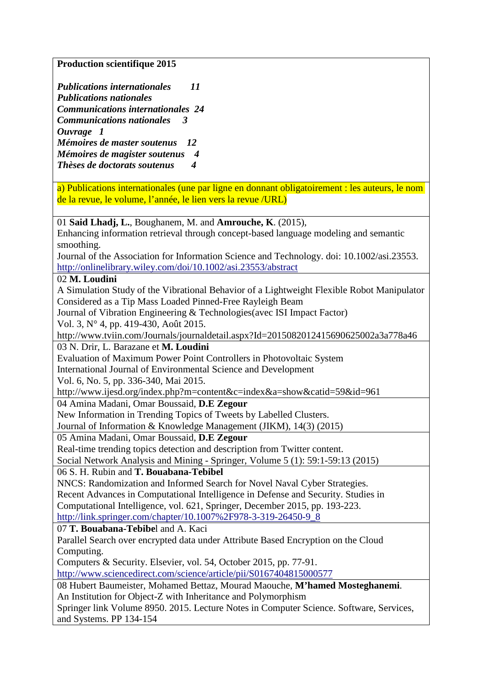**Production scientifique 2015** 

*Publications internationales 11 Publications nationales Communications internationales 24 Communications nationales 3 Ouvrage 1 Mémoires de master soutenus 12 Mémoires de magister soutenus 4 Thèses de doctorats soutenus 4* 

a) Publications internationales (une par ligne en donnant obligatoirement : les auteurs, le nom de la revue, le volume, l'année, le lien vers la revue /URL)

01 **Said Lhadj, L.**, Boughanem, M. and **Amrouche, K**. (2015),

Enhancing information retrieval through concept-based language modeling and semantic smoothing.

Journal of the Association for Information Science and Technology. doi: 10.1002/asi.23553. http://onlinelibrary.wiley.com/doi/10.1002/asi.23553/abstract

#### 02 **M. Loudini**

A Simulation Study of the Vibrational Behavior of a Lightweight Flexible Robot Manipulator Considered as a Tip Mass Loaded Pinned-Free Rayleigh Beam

Journal of Vibration Engineering & Technologies(avec ISI Impact Factor)

Vol. 3, N° 4, pp. 419-430, Août 2015.

http://www.tviin.com/Journals/journaldetail.aspx?Id=2015082012415690625002a3a778a46

03 N. Drir, L. Barazane et **M. Loudini**

Evaluation of Maximum Power Point Controllers in Photovoltaic System

International Journal of Environmental Science and Development

Vol. 6, No. 5, pp. 336-340, Mai 2015.

http://www.ijesd.org/index.php?m=content&c=index&a=show&catid=59&id=961

## 04 Amina Madani, Omar Boussaid, **D.E Zegour**

New Information in Trending Topics of Tweets by Labelled Clusters.

Journal of Information & Knowledge Management (JIKM), 14(3) (2015)

#### 05 Amina Madani, Omar Boussaid, **D.E Zegour**

Real-time trending topics detection and description from Twitter content.

Social Network Analysis and Mining - Springer, Volume 5 (1): 59:1-59:13 (2015)

### 06 S. H. Rubin and **T. Bouabana-Tebibel**

NNCS: Randomization and Informed Search for Novel Naval Cyber Strategies. Recent Advances in Computational Intelligence in Defense and Security. Studies in Computational Intelligence, vol. 621, Springer, December 2015, pp. 193-223. http://link.springer.com/chapter/10.1007%2F978-3-319-26450-9\_8

07 **T. Bouabana-Tebibe**l and A. Kaci

Parallel Search over encrypted data under Attribute Based Encryption on the Cloud Computing.

Computers & Security. Elsevier, vol. 54, October 2015, pp. 77-91.

http://www.sciencedirect.com/science/article/pii/S0167404815000577

08 Hubert Baumeister, Mohamed Bettaz, Mourad Maouche, **M'hamed Mosteghanemi**. An Institution for Object-Z with Inheritance and Polymorphism

Springer link Volume 8950. 2015. Lecture Notes in Computer Science. Software, Services, and Systems. PP 134-154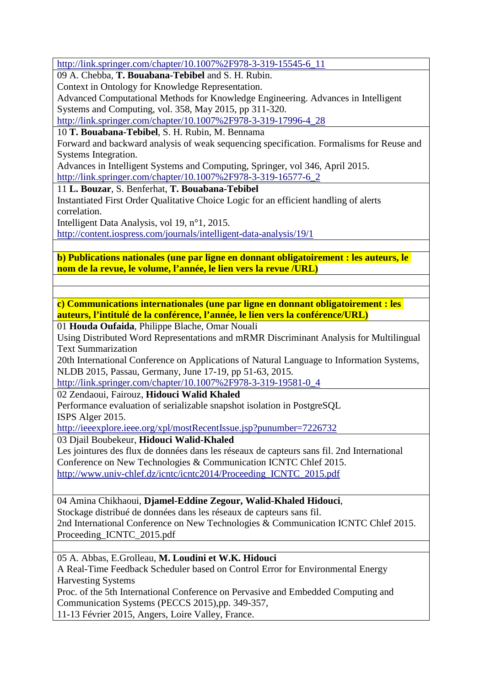http://link.springer.com/chapter/10.1007%2F978-3-319-15545-6\_11

09 A. Chebba, **T. Bouabana-Tebibel** and S. H. Rubin.

Context in Ontology for Knowledge Representation.

Advanced Computational Methods for Knowledge Engineering. Advances in Intelligent Systems and Computing, vol. 358, May 2015, pp 311-320.

http://link.springer.com/chapter/10.1007%2F978-3-319-17996-4\_28

10 **T. Bouabana-Tebibel**, S. H. Rubin, M. Bennama

Forward and backward analysis of weak sequencing specification. Formalisms for Reuse and Systems Integration.

Advances in Intelligent Systems and Computing, Springer, vol 346, April 2015. http://link.springer.com/chapter/10.1007%2F978-3-319-16577-6\_2

11 **L. Bouzar**, S. Benferhat, **T. Bouabana-Tebibel**

Instantiated First Order Qualitative Choice Logic for an efficient handling of alerts correlation.

Intelligent Data Analysis, vol 19, n°1, 2015.

http://content.iospress.com/journals/intelligent-data-analysis/19/1

**b) Publications nationales (une par ligne en donnant obligatoirement : les auteurs, le nom de la revue, le volume, l'année, le lien vers la revue /URL)** 

**c) Communications internationales (une par ligne en donnant obligatoirement : les auteurs, l'intitulé de la conférence, l'année, le lien vers la conférence/URL)** 

01 **Houda Oufaida**, Philippe Blache, Omar Nouali

Using Distributed Word Representations and mRMR Discriminant Analysis for Multilingual Text Summarization

20th International Conference on Applications of Natural Language to Information Systems, NLDB 2015, Passau, Germany, June 17-19, pp 51-63, 2015.

http://link.springer.com/chapter/10.1007%2F978-3-319-19581-0\_4

02 Zendaoui, Fairouz, **Hidouci Walid Khaled**

Performance evaluation of serializable snapshot isolation in PostgreSQL ISPS Alger 2015.

http://ieeexplore.ieee.org/xpl/mostRecentIssue.jsp?punumber=7226732

03 Djail Boubekeur, **Hidouci Walid-Khaled**

Les jointures des flux de données dans les réseaux de capteurs sans fil. 2nd International Conference on New Technologies & Communication ICNTC Chlef 2015. http://www.univ-chlef.dz/icntc/icntc2014/Proceeding\_ICNTC\_2015.pdf

04 Amina Chikhaoui, **Djamel-Eddine Zegour, Walid-Khaled Hidouci**, Stockage distribué de données dans les réseaux de capteurs sans fil. 2nd International Conference on New Technologies & Communication ICNTC Chlef 2015. Proceeding\_ICNTC\_2015.pdf

05 A. Abbas, E.Grolleau, **M. Loudini et W.K. Hidouci** A Real-Time Feedback Scheduler based on Control Error for Environmental Energy Harvesting Systems Proc. of the 5th International Conference on Pervasive and Embedded Computing and Communication Systems (PECCS 2015),pp. 349-357,

11-13 Février 2015, Angers, Loire Valley, France.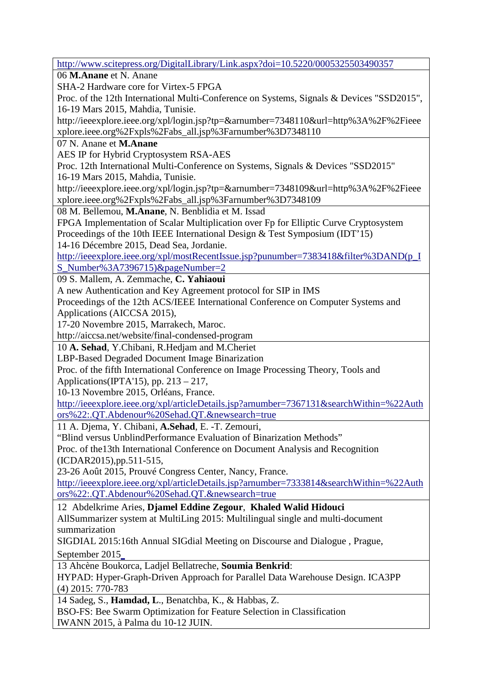http://www.scitepress.org/DigitalLibrary/Link.aspx?doi=10.5220/0005325503490357 06 **M.Anane** et N. Anane SHA-2 Hardware core for Virtex-5 FPGA Proc. of the 12th International Multi-Conference on Systems, Signals & Devices "SSD2015", 16-19 Mars 2015, Mahdia, Tunisie. http://ieeexplore.ieee.org/xpl/login.jsp?tp=&arnumber=7348110&url=http%3A%2F%2Fieee xplore.ieee.org%2Fxpls%2Fabs\_all.jsp%3Farnumber%3D7348110 07 N. Anane et **M.Anane** AES IP for Hybrid Cryptosystem RSA-AES Proc. 12th International Multi-Conference on Systems, Signals & Devices "SSD2015" 16-19 Mars 2015, Mahdia, Tunisie. http://ieeexplore.ieee.org/xpl/login.jsp?tp=&arnumber=7348109&url=http%3A%2F%2Fieee xplore.ieee.org%2Fxpls%2Fabs\_all.jsp%3Farnumber%3D7348109 08 M. Bellemou, **M.Anane**, N. Benblidia et M. Issad FPGA Implementation of Scalar Multiplication over Fp for Elliptic Curve Cryptosystem Proceedings of the 10th IEEE International Design & Test Symposium (IDT'15) 14-16 Décembre 2015, Dead Sea, Jordanie. http://ieeexplore.ieee.org/xpl/mostRecentIssue.jsp?punumber=7383418&filter%3DAND(p\_I S\_Number%3A7396715)&pageNumber=2 09 S. Mallem, A. Zemmache, **C. Yahiaoui** A new Authentication and Key Agreement protocol for SIP in IMS Proceedings of the 12th ACS/IEEE International Conference on Computer Systems and Applications (AICCSA 2015), 17-20 Novembre 2015, Marrakech, Maroc. http://aiccsa.net/website/final-condensed-program 10 **A. Sehad**, Y.Chibani, R.Hedjam and M.Cheriet LBP-Based Degraded Document Image Binarization Proc. of the fifth International Conference on Image Processing Theory, Tools and Applications(IPTA'15), pp.  $213 - 217$ , 10-13 Novembre 2015, Orléans, France. http://ieeexplore.ieee.org/xpl/articleDetails.jsp?arnumber=7367131&searchWithin=%22Auth ors%22:.QT.Abdenour%20Sehad.QT.&newsearch=true 11 A. Djema, Y. Chibani, **A.Sehad**, E. -T. Zemouri, "Blind versus UnblindPerformance Evaluation of Binarization Methods" Proc. of the13th International Conference on Document Analysis and Recognition (ICDAR2015),pp.511-515, 23-26 Août 2015, Prouvé Congress Center, Nancy, France. http://ieeexplore.ieee.org/xpl/articleDetails.jsp?arnumber=7333814&searchWithin=%22Auth ors%22:.QT.Abdenour%20Sehad.QT.&newsearch=true 12 Abdelkrime Aries, **Djamel Eddine Zegour**, **Khaled Walid Hidouci** AllSummarizer system at MultiLing 2015: Multilingual single and multi-document summarization SIGDIAL 2015:16th Annual SIGdial Meeting on Discourse and Dialogue , Prague, September 2015 13 Ahcène Boukorca, Ladjel Bellatreche, **Soumia Benkrid**: HYPAD: Hyper-Graph-Driven Approach for Parallel Data Warehouse Design. ICA3PP (4) 2015: 770-783 14 Sadeg, S., **Hamdad, L**., Benatchba, K., & Habbas, Z. BSO-FS: Bee Swarm Optimization for Feature Selection in Classification IWANN 2015, à Palma du 10-12 JUIN.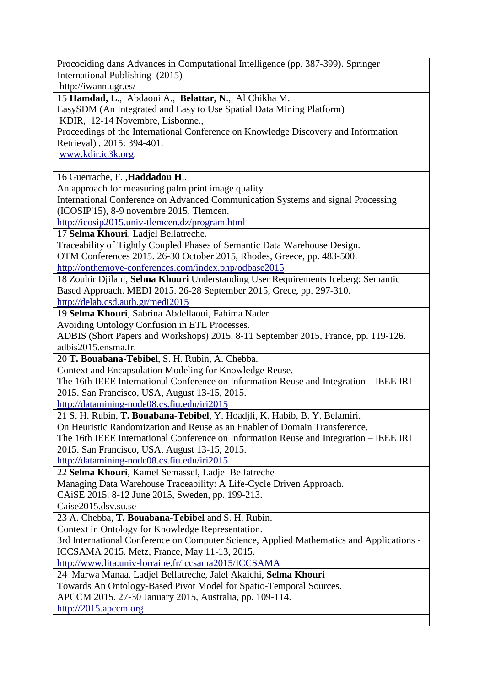Procociding dans Advances in Computational Intelligence (pp. 387-399). Springer International Publishing (2015)

http://iwann.ugr.es/

15 **Hamdad, L**., Abdaoui A., **Belattar, N**., Al Chikha M.

EasySDM (An Integrated and Easy to Use Spatial Data Mining Platform)

KDIR, 12-14 Novembre, Lisbonne.,

Proceedings of the International Conference on Knowledge Discovery and Information Retrieval) , 2015: 394-401.

www.kdir.ic3k.org.

16 Guerrache, F. ,**Haddadou H**,.

An approach for measuring palm print image quality

International Conference on Advanced Communication Systems and signal Processing (ICOSIP'15), 8-9 novembre 2015, Tlemcen.

http://icosip2015.univ-tlemcen.dz/program.html

17 **Selma Khouri**, Ladjel Bellatreche.

Traceability of Tightly Coupled Phases of Semantic Data Warehouse Design.

OTM Conferences 2015. 26-30 October 2015, Rhodes, Greece, pp. 483-500.

http://onthemove-conferences.com/index.php/odbase2015

18 Zouhir Djilani, **Selma Khouri** Understanding User Requirements Iceberg: Semantic Based Approach. MEDI 2015. 26-28 September 2015, Grece, pp. 297-310.

http://delab.csd.auth.gr/medi2015

19 **Selma Khouri**, Sabrina Abdellaoui, Fahima Nader

Avoiding Ontology Confusion in ETL Processes.

ADBIS (Short Papers and Workshops) 2015. 8-11 September 2015, France, pp. 119-126. adbis2015.ensma.fr.

20 **T. Bouabana-Tebibel**, S. H. Rubin, A. Chebba.

Context and Encapsulation Modeling for Knowledge Reuse.

The 16th IEEE International Conference on Information Reuse and Integration – IEEE IRI 2015. San Francisco, USA, August 13-15, 2015.

http://datamining-node08.cs.fiu.edu/iri2015

21 S. H. Rubin, **T. Bouabana-Tebibel**, Y. Hoadjli, K. Habib, B. Y. Belamiri.

On Heuristic Randomization and Reuse as an Enabler of Domain Transference.

The 16th IEEE International Conference on Information Reuse and Integration – IEEE IRI 2015. San Francisco, USA, August 13-15, 2015.

http://datamining-node08.cs.fiu.edu/iri2015

22 **Selma Khouri**, Kamel Semassel, Ladjel Bellatreche

Managing Data Warehouse Traceability: A Life-Cycle Driven Approach.

CAiSE 2015. 8-12 June 2015, Sweden, pp. 199-213.

Caise2015.dsv.su.se

23 A. Chebba, **T. Bouabana-Tebibel** and S. H. Rubin.

Context in Ontology for Knowledge Representation.

3rd International Conference on Computer Science, Applied Mathematics and Applications - ICCSAMA 2015. Metz, France, May 11-13, 2015.

http://www.lita.univ-lorraine.fr/iccsama2015/ICCSAMA

24 Marwa Manaa, Ladjel Bellatreche, Jalel Akaichi, **Selma Khouri**

Towards An Ontology-Based Pivot Model for Spatio-Temporal Sources.

APCCM 2015. 27-30 January 2015, Australia, pp. 109-114.

http://2015.apccm.org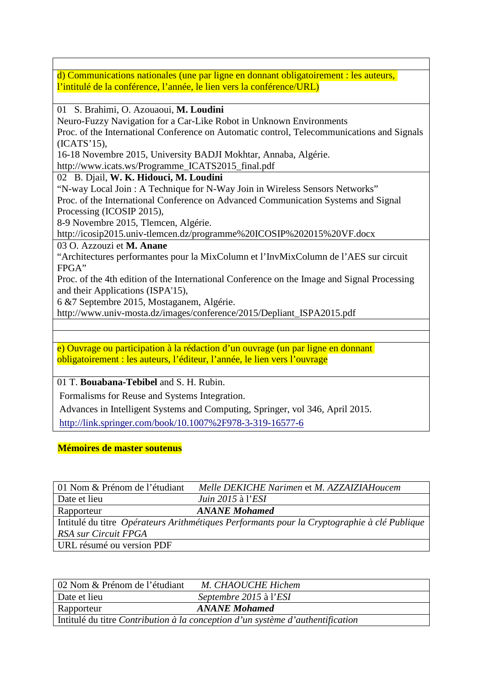d) Communications nationales (une par ligne en donnant obligatoirement : les auteurs, l'intitulé de la conférence, l'année, le lien vers la conférence/URL)

01 S. Brahimi, O. Azouaoui, **M. Loudini**

Neuro-Fuzzy Navigation for a Car-Like Robot in Unknown Environments

Proc. of the International Conference on Automatic control, Telecommunications and Signals (ICATS'15),

16-18 Novembre 2015, University BADJI Mokhtar, Annaba, Algérie.

http://www.icats.ws/Programme\_ICATS2015\_final.pdf

02 B. Djail, **W. K. Hidouci, M. Loudini**

"N-way Local Join : A Technique for N-Way Join in Wireless Sensors Networks" Proc. of the International Conference on Advanced Communication Systems and Signal Processing (ICOSIP 2015),

8-9 Novembre 2015, Tlemcen, Algérie.

http://icosip2015.univ-tlemcen.dz/programme%20ICOSIP%202015%20VF.docx

03 O. Azzouzi et **M. Anane**

"Architectures performantes pour la MixColumn et l'InvMixColumn de l'AES sur circuit FPGA"

Proc. of the 4th edition of the International Conference on the Image and Signal Processing and their Applications (ISPA'15),

6 &7 Septembre 2015, Mostaganem, Algérie.

http://www.univ-mosta.dz/images/conference/2015/Depliant\_ISPA2015.pdf

e) Ouvrage ou participation à la rédaction d'un ouvrage (un par ligne en donnant obligatoirement : les auteurs, l'éditeur, l'année, le lien vers l'ouvrage

01 T. **Bouabana-Tebibel** and S. H. Rubin.

Formalisms for Reuse and Systems Integration.

Advances in Intelligent Systems and Computing, Springer, vol 346, April 2015.

http://link.springer.com/book/10.1007%2F978-3-319-16577-6

## **Mémoires de master soutenus**

| 01 Nom & Prénom de l'étudiant                                                               | Melle DEKICHE Narimen et M. AZZAIZIAHoucem |  |
|---------------------------------------------------------------------------------------------|--------------------------------------------|--|
| Date et lieu                                                                                | <i>Juin 2015</i> à l' <i>ESI</i>           |  |
| Rapporteur                                                                                  | <b>ANANE Mohamed</b>                       |  |
| Intitulé du titre Opérateurs Arithmétiques Performants pour la Cryptographie à clé Publique |                                            |  |
| RSA sur Circuit FPGA                                                                        |                                            |  |
| URL résumé ou version PDF                                                                   |                                            |  |

| 02 Nom & Prénom de l'étudiant                                                  | M. CHAOUCHE Hichem     |  |
|--------------------------------------------------------------------------------|------------------------|--|
| Date et lieu                                                                   | Septembre 2015 à l'ESI |  |
| Rapporteur                                                                     | <b>ANANE Mohamed</b>   |  |
| Intitulé du titre Contribution à la conception d'un système d'authentification |                        |  |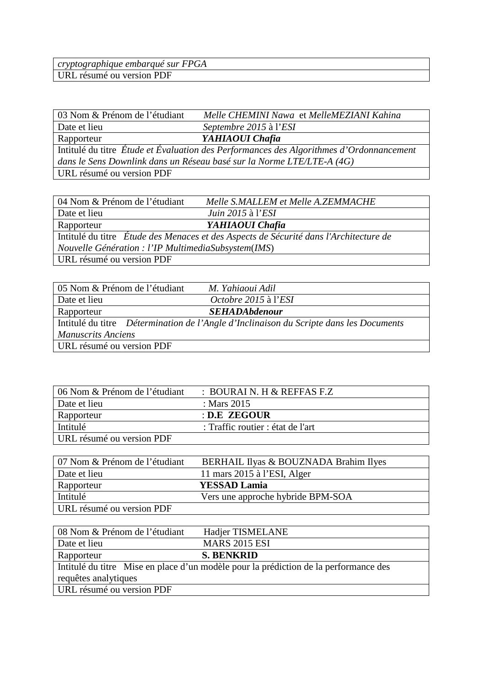| cryptographique embarqué sur FPGA |  |
|-----------------------------------|--|
| URL résumé ou version PDF         |  |
|                                   |  |

| 03 Nom & Prénom de l'étudiant                                                           | Melle CHEMINI Nawa et MelleMEZIANI Kahina                             |  |
|-----------------------------------------------------------------------------------------|-----------------------------------------------------------------------|--|
| Date et lieu                                                                            | Septembre 2015 à l'ESI                                                |  |
| Rapporteur                                                                              | YAHIAOUI Chafia                                                       |  |
| Intitulé du titre Étude et Évaluation des Performances des Algorithmes d'Ordonnancement |                                                                       |  |
|                                                                                         | dans le Sens Downlink dans un Réseau basé sur la Norme LTE/LTE-A (4G) |  |
| URL résumé ou version PDF                                                               |                                                                       |  |
|                                                                                         |                                                                       |  |

| 04 Nom & Prénom de l'étudiant                       | Melle S.MALLEM et Melle A.ZEMMACHE                                                    |
|-----------------------------------------------------|---------------------------------------------------------------------------------------|
| Date et lieu                                        | <i>Juin 2015</i> à l' <i>ESI</i>                                                      |
| Rapporteur                                          | YAHIAOUI Chafia                                                                       |
|                                                     | Intitulé du titre Étude des Menaces et des Aspects de Sécurité dans l'Architecture de |
| Nouvelle Génération : l'IP MultimediaSubsystem(IMS) |                                                                                       |
| URL résumé ou version PDF                           |                                                                                       |

| 05 Nom & Prénom de l'étudiant | M. Yahiaoui Adil                                                                       |
|-------------------------------|----------------------------------------------------------------------------------------|
| Date et lieu                  | Octobre 2015 à l'ESI                                                                   |
| Rapporteur                    | <b>SEHADAbdenour</b>                                                                   |
|                               | Intitulé du titre Détermination de l'Angle d'Inclinaison du Scripte dans les Documents |
| <b>Manuscrits Anciens</b>     |                                                                                        |
| URL résumé ou version PDF     |                                                                                        |

| 06 Nom & Prénom de l'étudiant | : BOURAI N. H & REFFAS F.Z        |
|-------------------------------|-----------------------------------|
| Date et lieu                  | : Mars $2015$                     |
| Rapporteur                    | : D.E ZEGOUR                      |
| Intitulé                      | : Traffic routier : état de l'art |
| URL résumé ou version PDF     |                                   |

| 07 Nom & Prénom de l'étudiant | BERHAIL Ilyas & BOUZNADA Brahim Ilyes |
|-------------------------------|---------------------------------------|
| Date et lieu                  | 11 mars $2015$ à l'ESI, Alger         |
| Rapporteur                    | <b>YESSAD Lamia</b>                   |
| Intitulé                      | Vers une approche hybride BPM-SOA     |
| URL résumé ou version PDF     |                                       |

| 08 Nom & Prénom de l'étudiant | Hadjer TISMELANE                                                                     |
|-------------------------------|--------------------------------------------------------------------------------------|
| Date et lieu                  | <b>MARS 2015 ESI</b>                                                                 |
| Rapporteur                    | <b>S. BENKRID</b>                                                                    |
|                               | Intitulé du titre Mise en place d'un modèle pour la prédiction de la performance des |
| requêtes analytiques          |                                                                                      |
| URL résumé ou version PDF     |                                                                                      |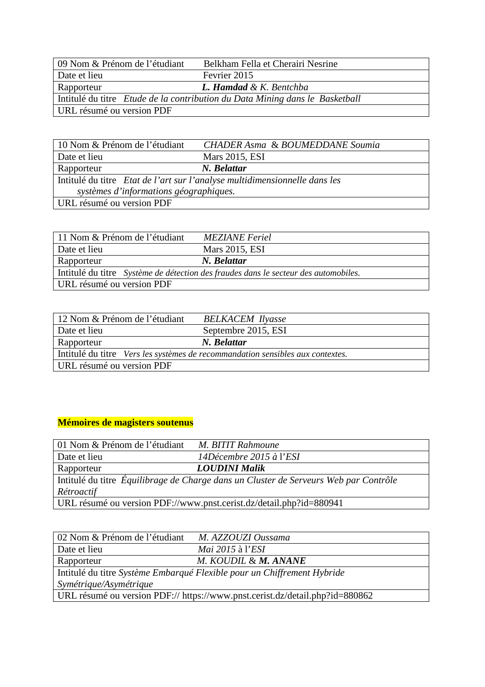| 09 Nom & Prénom de l'étudiant                                                | Belkham Fella et Cherairi Nesrine  |  |
|------------------------------------------------------------------------------|------------------------------------|--|
| Date et lieu                                                                 | Fevrier 2015                       |  |
| Rapporteur                                                                   | <b>L. Hamdad &amp; K. Bentchba</b> |  |
| Intitulé du titre Etude de la contribution du Data Mining dans le Basketball |                                    |  |
| URL résumé ou version PDF                                                    |                                    |  |

| 10 Nom & Prénom de l'étudiant                                              | <b>CHADER Asma &amp; BOUMEDDANE Soumia</b> |
|----------------------------------------------------------------------------|--------------------------------------------|
| Date et lieu                                                               | Mars 2015, ESI                             |
| Rapporteur                                                                 | N. Belattar                                |
| Intitulé du titre Etat de l'art sur l'analyse multidimensionnelle dans les |                                            |
| systèmes d'informations géographiques.                                     |                                            |
| URL résumé ou version PDF                                                  |                                            |

| 11 Nom & Prénom de l'étudiant | <b>MEZIANE</b> Feriel                                                               |
|-------------------------------|-------------------------------------------------------------------------------------|
| Date et lieu                  | Mars 2015, ESI                                                                      |
| Rapporteur                    | N. Belattar                                                                         |
|                               | Intitulé du titre Système de détection des fraudes dans le secteur des automobiles. |
| URL résumé ou version PDF     |                                                                                     |

| 12 Nom & Prénom de l'étudiant                                                  | <b>BELKACEM Ilyasse</b> |
|--------------------------------------------------------------------------------|-------------------------|
| Date et lieu                                                                   | Septembre 2015, ESI     |
| Rapporteur                                                                     | N. Belattar             |
| Intitulé du titre Vers les systèmes de recommandation sensibles aux contextes. |                         |
| URL résumé ou version PDF                                                      |                         |

# **Mémoires de magisters soutenus**

| 01 Nom & Prénom de l'étudiant                                                        | M. BITIT Rahmoune       |  |
|--------------------------------------------------------------------------------------|-------------------------|--|
| Date et lieu                                                                         | 14Décembre 2015 à l'ESI |  |
| Rapporteur                                                                           | <b>LOUDINI Malik</b>    |  |
| Intitulé du titre Équilibrage de Charge dans un Cluster de Serveurs Web par Contrôle |                         |  |
| Rétroactif                                                                           |                         |  |
| URL résumé ou version PDF://www.pnst.cerist.dz/detail.php?id=880941                  |                         |  |

| 02 Nom & Prénom de l'étudiant                                                | M. AZZOUZI Oussama      |  |
|------------------------------------------------------------------------------|-------------------------|--|
| Date et lieu                                                                 | <i>Mai</i> 2015 à l'ESI |  |
| Rapporteur                                                                   | M. KOUDIL & M. ANANE    |  |
| Intitulé du titre Système Embarqué Flexible pour un Chiffrement Hybride      |                         |  |
| Symétrique/Asymétrique                                                       |                         |  |
| URL résumé ou version PDF:// https://www.pnst.cerist.dz/detail.php?id=880862 |                         |  |